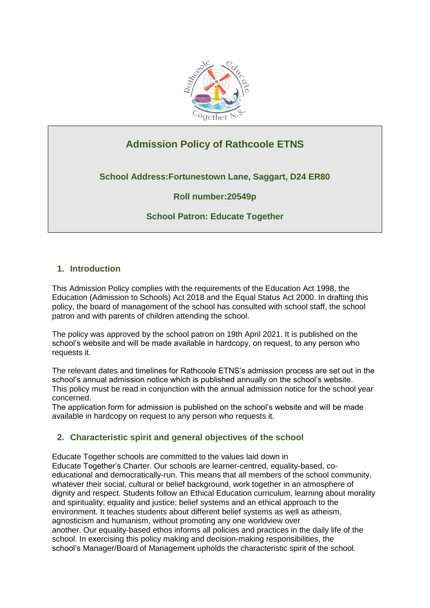

# **Admission Policy of Rathcoole ETNS**

**School Address:Fortunestown Lane, Saggart, D24 ER80**

**Roll number:20549p**

# **School Patron: Educate Together**

# **1. Introduction**

This Admission Policy complies with the requirements of the Education Act 1998, the Education (Admission to Schools) Act 2018 and the Equal Status Act 2000. In drafting this policy, the board of management of the school has consulted with school staff, the school patron and with parents of children attending the school.

The policy was approved by the school patron on 19th April 2021. It is published on the school's website and will be made available in hardcopy, on request, to any person who requests it.

The relevant dates and timelines for Rathcoole ETNS's admission process are set out in the school's annual admission notice which is published annually on the school's website. This policy must be read in conjunction with the annual admission notice for the school year concerned.

The application form for admission is published on the school's website and will be made available in hardcopy on request to any person who requests it.

# **2. Characteristic spirit and general objectives of the school**

Educate Together schools are committed to the values laid down in Educate Together's Charter. Our schools are learner-centred, equality-based, coeducational and democratically-run. This means that all members of the school community, whatever their social, cultural or belief background, work together in an atmosphere of dignity and respect. Students follow an Ethical Education curriculum, learning about morality and spirituality; equality and justice; belief systems and an ethical approach to the environment. It teaches students about different belief systems as well as atheism, agnosticism and humanism, without promoting any one worldview over another. Our equality-based ethos informs all policies and practices in the daily life of the school. In exercising this policy making and decision-making responsibilities, the school's Manager/Board of Management upholds the characteristic spirit of the school.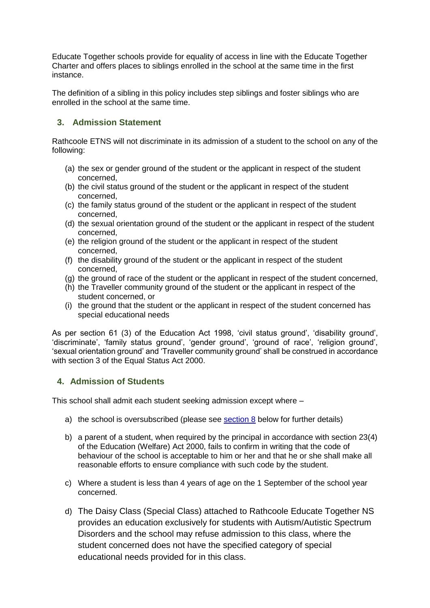Educate Together schools provide for equality of access in line with the Educate Together Charter and offers places to siblings enrolled in the school at the same time in the first instance.

The definition of a sibling in this policy includes step siblings and foster siblings who are enrolled in the school at the same time.

# **3. Admission Statement**

Rathcoole ETNS will not discriminate in its admission of a student to the school on any of the following:

- (a) the sex or gender ground of the student or the applicant in respect of the student concerned,
- (b) the civil status ground of the student or the applicant in respect of the student concerned,
- (c) the family status ground of the student or the applicant in respect of the student concerned,
- (d) the sexual orientation ground of the student or the applicant in respect of the student concerned,
- (e) the religion ground of the student or the applicant in respect of the student concerned,
- (f) the disability ground of the student or the applicant in respect of the student concerned,
- (g) the ground of race of the student or the applicant in respect of the student concerned,
- (h) the Traveller community ground of the student or the applicant in respect of the student concerned, or
- (i) the ground that the student or the applicant in respect of the student concerned has special educational needs

As per section 61 (3) of the Education Act 1998, 'civil status ground', 'disability ground', 'discriminate', 'family status ground', 'gender ground', 'ground of race', 'religion ground', 'sexual orientation ground' and 'Traveller community ground' shall be construed in accordance with section 3 of the Equal Status Act 2000.

# **4. Admission of Students**

This school shall admit each student seeking admission except where –

- a) the school is oversubscribed (please see [section 8](#page-2-0) below for further details)
- b) a parent of a student, when required by the principal in accordance with section 23(4) of the Education (Welfare) Act 2000, fails to confirm in writing that the code of behaviour of the school is acceptable to him or her and that he or she shall make all reasonable efforts to ensure compliance with such code by the student.
- c) Where a student is less than 4 years of age on the 1 September of the school year concerned.
- d) The Daisy Class (Special Class) attached to Rathcoole Educate Together NS provides an education exclusively for students with Autism/Autistic Spectrum Disorders and the school may refuse admission to this class, where the student concerned does not have the specified category of special educational needs provided for in this class.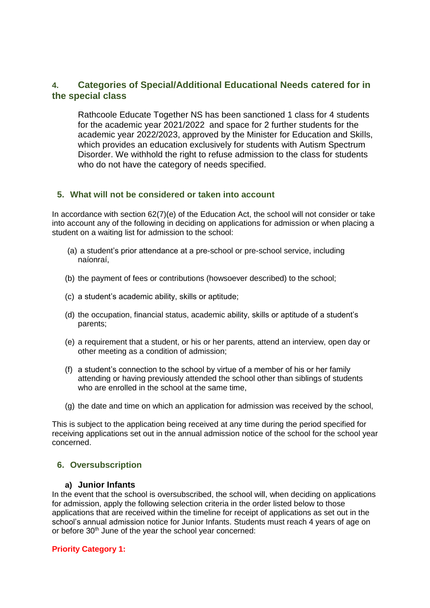# **4. Categories of Special/Additional Educational Needs catered for in the special class**

Rathcoole Educate Together NS has been sanctioned 1 class for 4 students for the academic year 2021/2022 and space for 2 further students for the academic year 2022/2023, approved by the Minister for Education and Skills, which provides an education exclusively for students with Autism Spectrum Disorder. We withhold the right to refuse admission to the class for students who do not have the category of needs specified.

# **5. What will not be considered or taken into account**

In accordance with section 62(7)(e) of the Education Act, the school will not consider or take into account any of the following in deciding on applications for admission or when placing a student on a waiting list for admission to the school:

- (a) a student's prior attendance at a pre-school or pre-school service, including naíonraí,
- (b) the payment of fees or contributions (howsoever described) to the school;
- (c) a student's academic ability, skills or aptitude;
- (d) the occupation, financial status, academic ability, skills or aptitude of a student's parents;
- (e) a requirement that a student, or his or her parents, attend an interview, open day or other meeting as a condition of admission;
- (f) a student's connection to the school by virtue of a member of his or her family attending or having previously attended the school other than siblings of students who are enrolled in the school at the same time.
- (g) the date and time on which an application for admission was received by the school,

This is subject to the application being received at any time during the period specified for receiving applications set out in the annual admission notice of the school for the school year concerned.

# <span id="page-2-0"></span>**6. Oversubscription**

## **a) Junior Infants**

In the event that the school is oversubscribed, the school will, when deciding on applications for admission, apply the following selection criteria in the order listed below to those applications that are received within the timeline for receipt of applications as set out in the school's annual admission notice for Junior Infants. Students must reach 4 years of age on or before 30<sup>th</sup> June of the year the school year concerned:

## **Priority Category 1:**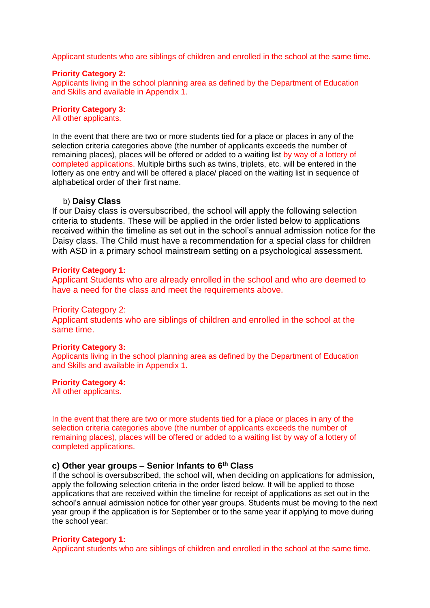Applicant students who are siblings of children and enrolled in the school at the same time.

#### **Priority Category 2:**

Applicants living in the school planning area as defined by the Department of Education and Skills and available in Appendix 1.

# **Priority Category 3:**

All other applicants.

In the event that there are two or more students tied for a place or places in any of the selection criteria categories above (the number of applicants exceeds the number of remaining places), places will be offered or added to a waiting list by way of a lottery of completed applications. Multiple births such as twins, triplets, etc. will be entered in the lottery as one entry and will be offered a place/ placed on the waiting list in sequence of alphabetical order of their first name.

### b) **Daisy Class**

If our Daisy class is oversubscribed, the school will apply the following selection criteria to students. These will be applied in the order listed below to applications received within the timeline as set out in the school's annual admission notice for the Daisy class. The Child must have a recommendation for a special class for children with ASD in a primary school mainstream setting on a psychological assessment.

#### **Priority Category 1:**

Applicant Students who are already enrolled in the school and who are deemed to have a need for the class and meet the requirements above.

### Priority Category 2:

Applicant students who are siblings of children and enrolled in the school at the same time.

#### **Priority Category 3:**

Applicants living in the school planning area as defined by the Department of Education and Skills and available in Appendix 1.

#### **Priority Category 4:**

All other applicants.

In the event that there are two or more students tied for a place or places in any of the selection criteria categories above (the number of applicants exceeds the number of remaining places), places will be offered or added to a waiting list by way of a lottery of completed applications.

# **c) Other year groups – Senior Infants to 6th Class**

If the school is oversubscribed, the school will, when deciding on applications for admission, apply the following selection criteria in the order listed below. It will be applied to those applications that are received within the timeline for receipt of applications as set out in the school's annual admission notice for other year groups. Students must be moving to the next year group if the application is for September or to the same year if applying to move during the school year:

#### **Priority Category 1:**

Applicant students who are siblings of children and enrolled in the school at the same time.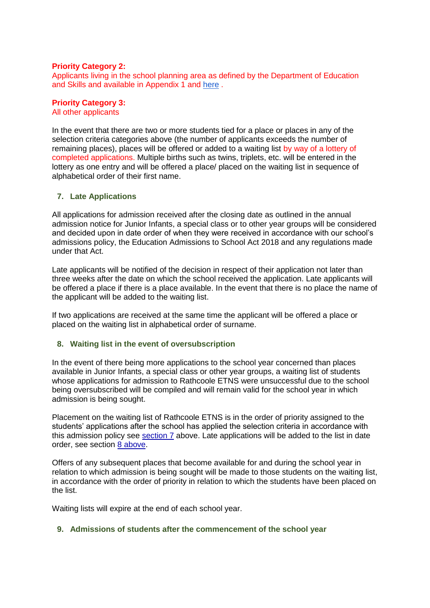### **Priority Category 2:**

Applicants living in the school planning area as defined by the Department of Education and Skills and available in Appendix 1 and [here](https://www.education.ie/en/Schools-Colleges/Information/Establishing-a-New-School/New-Primary-Schools/school-planning-area-map-newcastle_rathcoole-saggart.pdf) .

### **Priority Category 3:**

All other applicants

In the event that there are two or more students tied for a place or places in any of the selection criteria categories above (the number of applicants exceeds the number of remaining places), places will be offered or added to a waiting list by way of a lottery of completed applications. Multiple births such as twins, triplets, etc. will be entered in the lottery as one entry and will be offered a place/ placed on the waiting list in sequence of alphabetical order of their first name.

### <span id="page-4-0"></span>**7. Late Applications**

All applications for admission received after the closing date as outlined in the annual admission notice for Junior Infants, a special class or to other year groups will be considered and decided upon in date order of when they were received in accordance with our school's admissions policy, the Education Admissions to School Act 2018 and any regulations made under that Act.

Late applicants will be notified of the decision in respect of their application not later than three weeks after the date on which the school received the application. Late applicants will be offered a place if there is a place available. In the event that there is no place the name of the applicant will be added to the waiting list.

If two applications are received at the same time the applicant will be offered a place or placed on the waiting list in alphabetical order of surname.

### **8. Waiting list in the event of oversubscription**

In the event of there being more applications to the school year concerned than places available in Junior Infants, a special class or other year groups, a waiting list of students whose applications for admission to Rathcoole ETNS were unsuccessful due to the school being oversubscribed will be compiled and will remain valid for the school year in which admission is being sought.

Placement on the waiting list of Rathcoole ETNS is in the order of priority assigned to the students' applications after the school has applied the selection criteria in accordance with this admission policy see [section 7](#page-2-0) above. Late applications will be added to the list in date order, see section [8 above.](#page-4-0)

Offers of any subsequent places that become available for and during the school year in relation to which admission is being sought will be made to those students on the waiting list, in accordance with the order of priority in relation to which the students have been placed on the list.

Waiting lists will expire at the end of each school year.

### **9. Admissions of students after the commencement of the school year**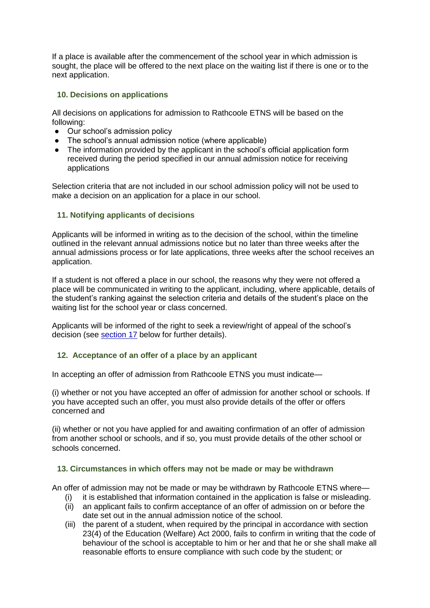If a place is available after the commencement of the school year in which admission is sought, the place will be offered to the next place on the waiting list if there is one or to the next application.

# **10. Decisions on applications**

All decisions on applications for admission to Rathcoole ETNS will be based on the following:

- Our school's admission policy
- The school's annual admission notice (where applicable)
- The information provided by the applicant in the school's official application form received during the period specified in our annual admission notice for receiving applications

Selection criteria that are not included in our school admission policy will not be used to make a decision on an application for a place in our school.

# **11. Notifying applicants of decisions**

Applicants will be informed in writing as to the decision of the school, within the timeline outlined in the relevant annual admissions notice but no later than three weeks after the annual admissions process or for late applications, three weeks after the school receives an application.

If a student is not offered a place in our school, the reasons why they were not offered a place will be communicated in writing to the applicant, including, where applicable, details of the student's ranking against the selection criteria and details of the student's place on the waiting list for the school year or class concerned.

Applicants will be informed of the right to seek a review/right of appeal of the school's decision (see [section 17](#page-6-0) below for further details).

## <span id="page-5-0"></span>**12. Acceptance of an offer of a place by an applicant**

In accepting an offer of admission from Rathcoole ETNS you must indicate—

(i) whether or not you have accepted an offer of admission for another school or schools. If you have accepted such an offer, you must also provide details of the offer or offers concerned and

(ii) whether or not you have applied for and awaiting confirmation of an offer of admission from another school or schools, and if so, you must provide details of the other school or schools concerned.

## **13. Circumstances in which offers may not be made or may be withdrawn**

An offer of admission may not be made or may be withdrawn by Rathcoole ETNS where—

- (i) it is established that information contained in the application is false or misleading.
- (ii) an applicant fails to confirm acceptance of an offer of admission on or before the date set out in the annual admission notice of the school.
- (iii) the parent of a student, when required by the principal in accordance with section 23(4) of the Education (Welfare) Act 2000, fails to confirm in writing that the code of behaviour of the school is acceptable to him or her and that he or she shall make all reasonable efforts to ensure compliance with such code by the student; or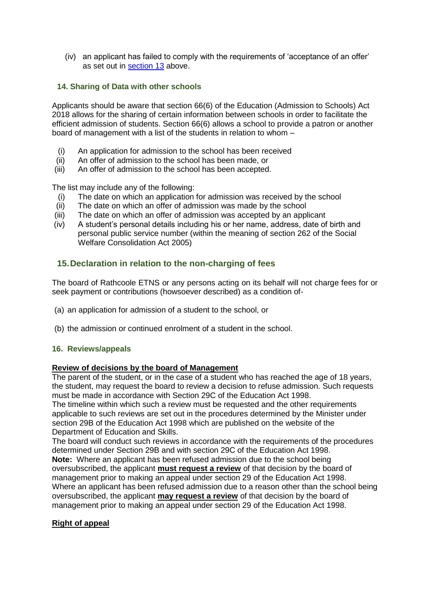(iv) an applicant has failed to comply with the requirements of 'acceptance of an offer' as set out in [section 13](#page-5-0) above.

# **14. Sharing of Data with other schools**

Applicants should be aware that section 66(6) of the Education (Admission to Schools) Act 2018 allows for the sharing of certain information between schools in order to facilitate the efficient admission of students. Section 66(6) allows a school to provide a patron or another board of management with a list of the students in relation to whom –

- (i) An application for admission to the school has been received
- (ii) An offer of admission to the school has been made, or
- (iii) An offer of admission to the school has been accepted.

The list may include any of the following:

- (i) The date on which an application for admission was received by the school
- (ii) The date on which an offer of admission was made by the school
- (iii) The date on which an offer of admission was accepted by an applicant
- (iv) A student's personal details including his or her name, address, date of birth and personal public service number (within the meaning of section 262 of the Social Welfare Consolidation Act 2005)

# **15.Declaration in relation to the non-charging of fees**

The board of Rathcoole ETNS or any persons acting on its behalf will not charge fees for or seek payment or contributions (howsoever described) as a condition of-

- (a) an application for admission of a student to the school, or
- (b) the admission or continued enrolment of a student in the school.

## <span id="page-6-0"></span>**16. Reviews/appeals**

### **Review of decisions by the board of Management**

The parent of the student, or in the case of a student who has reached the age of 18 years, the student, may request the board to review a decision to refuse admission. Such requests must be made in accordance with Section 29C of the Education Act 1998.

The timeline within which such a review must be requested and the other requirements applicable to such reviews are set out in the procedures determined by the Minister under section 29B of the Education Act 1998 which are published on the website of the Department of Education and Skills.

The board will conduct such reviews in accordance with the requirements of the procedures determined under Section 29B and with section 29C of the Education Act 1998. **Note:** Where an applicant has been refused admission due to the school being

oversubscribed, the applicant **must request a review** of that decision by the board of management prior to making an appeal under section 29 of the Education Act 1998. Where an applicant has been refused admission due to a reason other than the school being oversubscribed, the applicant **may request a review** of that decision by the board of management prior to making an appeal under section 29 of the Education Act 1998.

## **Right of appeal**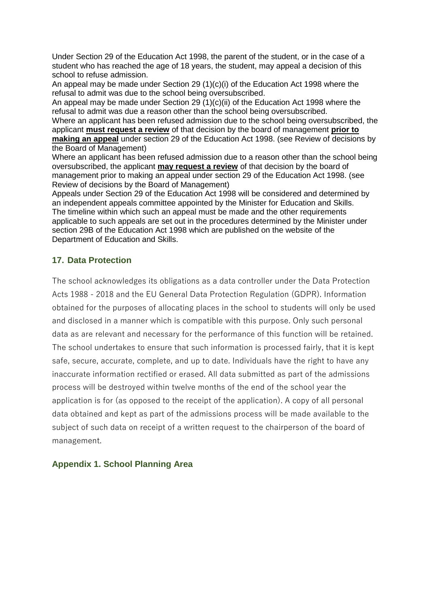Under Section 29 of the Education Act 1998, the parent of the student, or in the case of a student who has reached the age of 18 years, the student, may appeal a decision of this school to refuse admission.

An appeal may be made under Section 29 (1)(c)(i) of the Education Act 1998 where the refusal to admit was due to the school being oversubscribed.

An appeal may be made under Section 29 (1)(c)(ii) of the Education Act 1998 where the refusal to admit was due a reason other than the school being oversubscribed. Where an applicant has been refused admission due to the school being oversubscribed, the

applicant **must request a review** of that decision by the board of management **prior to making an appeal** under section 29 of the Education Act 1998. (see Review of decisions by the Board of Management)

Where an applicant has been refused admission due to a reason other than the school being oversubscribed, the applicant **may request a review** of that decision by the board of management prior to making an appeal under section 29 of the Education Act 1998. (see Review of decisions by the Board of Management)

Appeals under Section 29 of the Education Act 1998 will be considered and determined by an independent appeals committee appointed by the Minister for Education and Skills. The timeline within which such an appeal must be made and the other requirements applicable to such appeals are set out in the procedures determined by the Minister under section 29B of the Education Act 1998 which are published on the website of the Department of Education and Skills.

# **17. Data Protection**

The school acknowledges its obligations as a data controller under the Data Protection Acts 1988 - 2018 and the EU General Data Protection Regulation (GDPR). Information obtained for the purposes of allocating places in the school to students will only be used and disclosed in a manner which is compatible with this purpose. Only such personal data as are relevant and necessary for the performance of this function will be retained. The school undertakes to ensure that such information is processed fairly, that it is kept safe, secure, accurate, complete, and up to date. Individuals have the right to have any inaccurate information rectified or erased. All data submitted as part of the admissions process will be destroyed within twelve months of the end of the school year the application is for (as opposed to the receipt of the application). A copy of all personal data obtained and kept as part of the admissions process will be made available to the subject of such data on receipt of a written request to the chairperson of the board of management.

# **Appendix 1. School Planning Area**